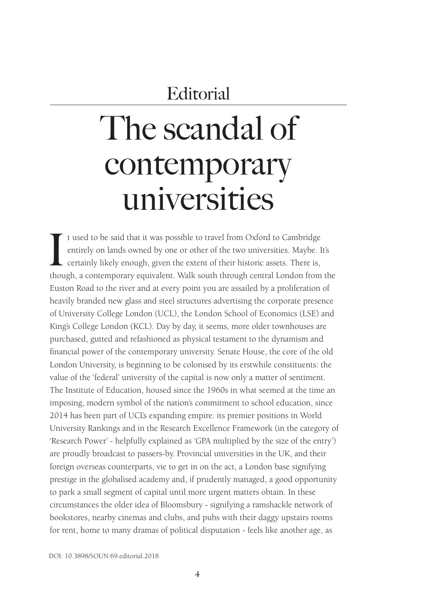# The scandal of contemporary universities

It used to be said that it was possible to travel from Oxford to Cambridge entirely on lands owned by one or other of the two universities. Maybe. It's certainly likely enough, given the extent of their historic assets. Th t used to be said that it was possible to travel from Oxford to Cambridge entirely on lands owned by one or other of the two universities. Maybe. It's certainly likely enough, given the extent of their historic assets. There is, Euston Road to the river and at every point you are assailed by a proliferation of heavily branded new glass and steel structures advertising the corporate presence of University College London (UCL), the London School of Economics (LSE) and King's College London (KCL). Day by day, it seems, more older townhouses are purchased, gutted and refashioned as physical testament to the dynamism and financial power of the contemporary university. Senate House, the core of the old London University, is beginning to be colonised by its erstwhile constituents: the value of the 'federal' university of the capital is now only a matter of sentiment. The Institute of Education, housed since the 1960s in what seemed at the time an imposing, modern symbol of the nation's commitment to school education, since 2014 has been part of UCL's expanding empire: its premier positions in World University Rankings and in the Research Excellence Framework (in the category of 'Research Power' - helpfully explained as 'GPA multiplied by the size of the entry') are proudly broadcast to passers-by. Provincial universities in the UK, and their foreign overseas counterparts, vie to get in on the act, a London base signifying prestige in the globalised academy and, if prudently managed, a good opportunity to park a small segment of capital until more urgent matters obtain. In these circumstances the older idea of Bloomsbury - signifying a ramshackle network of bookstores, nearby cinemas and clubs, and pubs with their daggy upstairs rooms for rent, home to many dramas of political disputation - feels like another age, as

DOI: 10.3898/SOUN:69.editorial.2018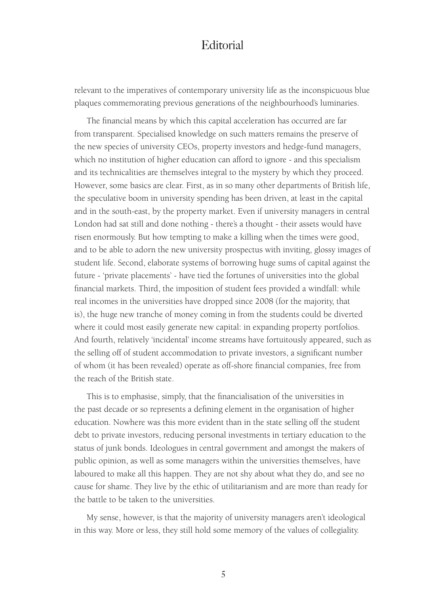relevant to the imperatives of contemporary university life as the inconspicuous blue plaques commemorating previous generations of the neighbourhood's luminaries.

The financial means by which this capital acceleration has occurred are far from transparent. Specialised knowledge on such matters remains the preserve of the new species of university CEOs, property investors and hedge-fund managers, which no institution of higher education can afford to ignore - and this specialism and its technicalities are themselves integral to the mystery by which they proceed. However, some basics are clear. First, as in so many other departments of British life, the speculative boom in university spending has been driven, at least in the capital and in the south-east, by the property market. Even if university managers in central London had sat still and done nothing - there's a thought - their assets would have risen enormously. But how tempting to make a killing when the times were good, and to be able to adorn the new university prospectus with inviting, glossy images of student life. Second, elaborate systems of borrowing huge sums of capital against the future - 'private placements' - have tied the fortunes of universities into the global financial markets. Third, the imposition of student fees provided a windfall: while real incomes in the universities have dropped since 2008 (for the majority, that is), the huge new tranche of money coming in from the students could be diverted where it could most easily generate new capital: in expanding property portfolios. And fourth, relatively 'incidental' income streams have fortuitously appeared, such as the selling off of student accommodation to private investors, a significant number of whom (it has been revealed) operate as off-shore financial companies, free from the reach of the British state.

This is to emphasise, simply, that the financialisation of the universities in the past decade or so represents a defining element in the organisation of higher education. Nowhere was this more evident than in the state selling off the student debt to private investors, reducing personal investments in tertiary education to the status of junk bonds. Ideologues in central government and amongst the makers of public opinion, as well as some managers within the universities themselves, have laboured to make all this happen. They are not shy about what they do, and see no cause for shame. They live by the ethic of utilitarianism and are more than ready for the battle to be taken to the universities.

My sense, however, is that the majority of university managers aren't ideological in this way. More or less, they still hold some memory of the values of collegiality.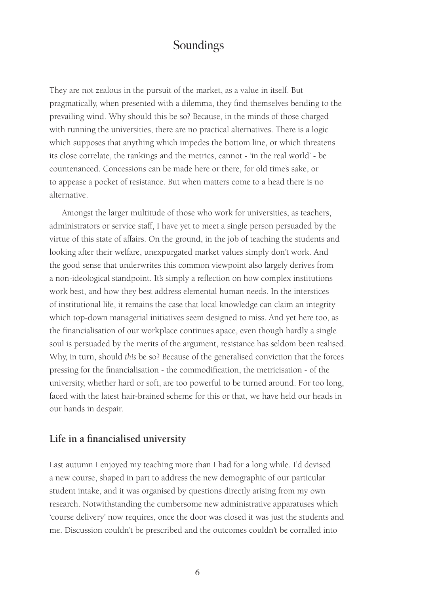They are not zealous in the pursuit of the market, as a value in itself. But pragmatically, when presented with a dilemma, they find themselves bending to the prevailing wind. Why should this be so? Because, in the minds of those charged with running the universities, there are no practical alternatives. There is a logic which supposes that anything which impedes the bottom line, or which threatens its close correlate, the rankings and the metrics, cannot - 'in the real world' - be countenanced. Concessions can be made here or there, for old time's sake, or to appease a pocket of resistance. But when matters come to a head there is no alternative.

Amongst the larger multitude of those who work for universities, as teachers, administrators or service staff, I have yet to meet a single person persuaded by the virtue of this state of affairs. On the ground, in the job of teaching the students and looking after their welfare, unexpurgated market values simply don't work. And the good sense that underwrites this common viewpoint also largely derives from a non-ideological standpoint. It's simply a reflection on how complex institutions work best, and how they best address elemental human needs. In the interstices of institutional life, it remains the case that local knowledge can claim an integrity which top-down managerial initiatives seem designed to miss. And yet here too, as the financialisation of our workplace continues apace, even though hardly a single soul is persuaded by the merits of the argument, resistance has seldom been realised. Why, in turn, should *this* be so? Because of the generalised conviction that the forces pressing for the financialisation - the commodification, the metricisation - of the university, whether hard or soft, are too powerful to be turned around. For too long, faced with the latest hair-brained scheme for this or that, we have held our heads in our hands in despair.

#### **Life in a financialised university**

Last autumn I enjoyed my teaching more than I had for a long while. I'd devised a new course, shaped in part to address the new demographic of our particular student intake, and it was organised by questions directly arising from my own research. Notwithstanding the cumbersome new administrative apparatuses which 'course delivery' now requires, once the door was closed it was just the students and me. Discussion couldn't be prescribed and the outcomes couldn't be corralled into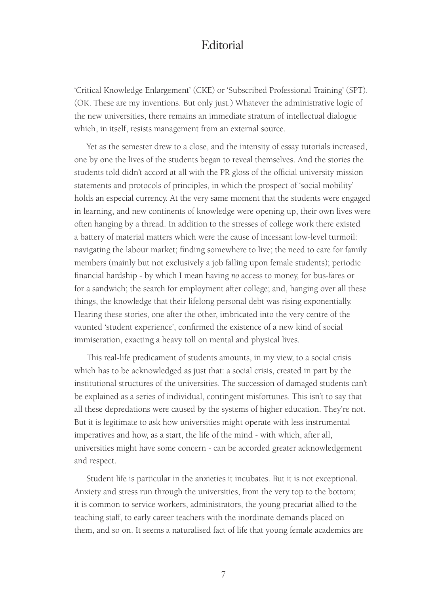'Critical Knowledge Enlargement' (CKE) or 'Subscribed Professional Training' (SPT). (OK. These are my inventions. But only just.) Whatever the administrative logic of the new universities, there remains an immediate stratum of intellectual dialogue which, in itself, resists management from an external source.

Yet as the semester drew to a close, and the intensity of essay tutorials increased, one by one the lives of the students began to reveal themselves. And the stories the students told didn't accord at all with the PR gloss of the official university mission statements and protocols of principles, in which the prospect of 'social mobility' holds an especial currency. At the very same moment that the students were engaged in learning, and new continents of knowledge were opening up, their own lives were often hanging by a thread. In addition to the stresses of college work there existed a battery of material matters which were the cause of incessant low-level turmoil: navigating the labour market; finding somewhere to live; the need to care for family members (mainly but not exclusively a job falling upon female students); periodic financial hardship - by which I mean having *no* access to money, for bus-fares or for a sandwich; the search for employment after college; and, hanging over all these things, the knowledge that their lifelong personal debt was rising exponentially. Hearing these stories, one after the other, imbricated into the very centre of the vaunted 'student experience', confirmed the existence of a new kind of social immiseration, exacting a heavy toll on mental and physical lives.

This real-life predicament of students amounts, in my view, to a social crisis which has to be acknowledged as just that: a social crisis, created in part by the institutional structures of the universities. The succession of damaged students can't be explained as a series of individual, contingent misfortunes. This isn't to say that all these depredations were caused by the systems of higher education. They're not. But it is legitimate to ask how universities might operate with less instrumental imperatives and how, as a start, the life of the mind - with which, after all, universities might have some concern - can be accorded greater acknowledgement and respect.

Student life is particular in the anxieties it incubates. But it is not exceptional. Anxiety and stress run through the universities, from the very top to the bottom; it is common to service workers, administrators, the young precariat allied to the teaching staff, to early career teachers with the inordinate demands placed on them, and so on. It seems a naturalised fact of life that young female academics are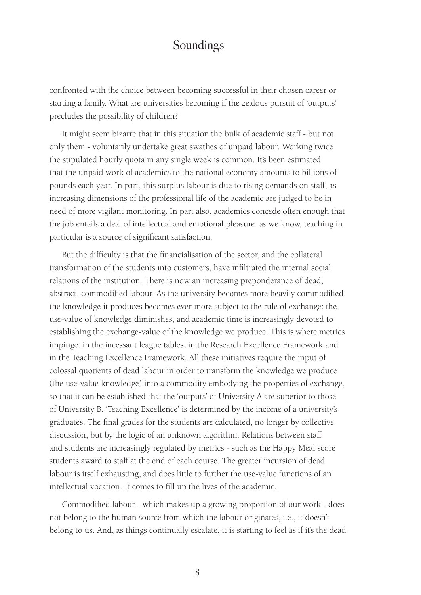confronted with the choice between becoming successful in their chosen career or starting a family. What are universities becoming if the zealous pursuit of 'outputs' precludes the possibility of children?

It might seem bizarre that in this situation the bulk of academic staff - but not only them - voluntarily undertake great swathes of unpaid labour. Working twice the stipulated hourly quota in any single week is common. It's been estimated that the unpaid work of academics to the national economy amounts to billions of pounds each year. In part, this surplus labour is due to rising demands on staff, as increasing dimensions of the professional life of the academic are judged to be in need of more vigilant monitoring. In part also, academics concede often enough that the job entails a deal of intellectual and emotional pleasure: as we know, teaching in particular is a source of significant satisfaction.

But the difficulty is that the financialisation of the sector, and the collateral transformation of the students into customers, have infiltrated the internal social relations of the institution. There is now an increasing preponderance of dead, abstract, commodified labour. As the university becomes more heavily commodified, the knowledge it produces becomes ever-more subject to the rule of exchange: the use-value of knowledge diminishes, and academic time is increasingly devoted to establishing the exchange-value of the knowledge we produce. This is where metrics impinge: in the incessant league tables, in the Research Excellence Framework and in the Teaching Excellence Framework. All these initiatives require the input of colossal quotients of dead labour in order to transform the knowledge we produce (the use-value knowledge) into a commodity embodying the properties of exchange, so that it can be established that the 'outputs' of University A are superior to those of University B. 'Teaching Excellence' is determined by the income of a university's graduates. The final grades for the students are calculated, no longer by collective discussion, but by the logic of an unknown algorithm. Relations between staff and students are increasingly regulated by metrics - such as the Happy Meal score students award to staff at the end of each course. The greater incursion of dead labour is itself exhausting, and does little to further the use-value functions of an intellectual vocation. It comes to fill up the lives of the academic.

Commodified labour - which makes up a growing proportion of our work - does not belong to the human source from which the labour originates, i.e., it doesn't belong to us. And, as things continually escalate, it is starting to feel as if it's the dead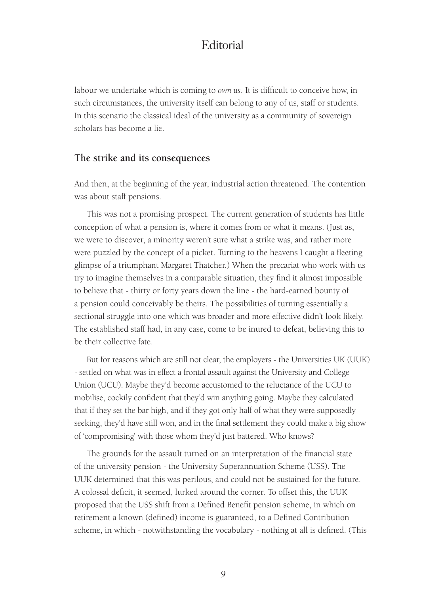labour we undertake which is coming to *own us*. It is difficult to conceive how, in such circumstances, the university itself can belong to any of us, staff or students. In this scenario the classical ideal of the university as a community of sovereign scholars has become a lie.

#### **The strike and its consequences**

And then, at the beginning of the year, industrial action threatened. The contention was about staff pensions.

This was not a promising prospect. The current generation of students has little conception of what a pension is, where it comes from or what it means. (Just as, we were to discover, a minority weren't sure what a strike was, and rather more were puzzled by the concept of a picket. Turning to the heavens I caught a fleeting glimpse of a triumphant Margaret Thatcher.) When the precariat who work with us try to imagine themselves in a comparable situation, they find it almost impossible to believe that - thirty or forty years down the line - the hard-earned bounty of a pension could conceivably be theirs. The possibilities of turning essentially a sectional struggle into one which was broader and more effective didn't look likely. The established staff had, in any case, come to be inured to defeat, believing this to be their collective fate.

But for reasons which are still not clear, the employers - the Universities UK (UUK) - settled on what was in effect a frontal assault against the University and College Union (UCU). Maybe they'd become accustomed to the reluctance of the UCU to mobilise, cockily confident that they'd win anything going. Maybe they calculated that if they set the bar high, and if they got only half of what they were supposedly seeking, they'd have still won, and in the final settlement they could make a big show of 'compromising' with those whom they'd just battered. Who knows?

The grounds for the assault turned on an interpretation of the financial state of the university pension - the University Superannuation Scheme (USS). The UUK determined that this was perilous, and could not be sustained for the future. A colossal deficit, it seemed, lurked around the corner. To offset this, the UUK proposed that the USS shift from a Defined Benefit pension scheme, in which on retirement a known (defined) income is guaranteed, to a Defined Contribution scheme, in which - notwithstanding the vocabulary - nothing at all is defined. (This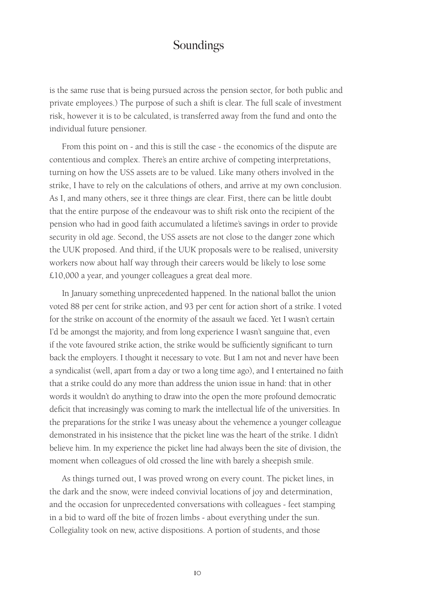is the same ruse that is being pursued across the pension sector, for both public and private employees.) The purpose of such a shift is clear. The full scale of investment risk, however it is to be calculated, is transferred away from the fund and onto the individual future pensioner.

From this point on - and this is still the case - the economics of the dispute are contentious and complex. There's an entire archive of competing interpretations, turning on how the USS assets are to be valued. Like many others involved in the strike, I have to rely on the calculations of others, and arrive at my own conclusion. As I, and many others, see it three things are clear. First, there can be little doubt that the entire purpose of the endeavour was to shift risk onto the recipient of the pension who had in good faith accumulated a lifetime's savings in order to provide security in old age. Second, the USS assets are not close to the danger zone which the UUK proposed. And third, if the UUK proposals were to be realised, university workers now about half way through their careers would be likely to lose some £10,000 a year, and younger colleagues a great deal more.

In January something unprecedented happened. In the national ballot the union voted 88 per cent for strike action, and 93 per cent for action short of a strike. I voted for the strike on account of the enormity of the assault we faced. Yet I wasn't certain I'd be amongst the majority, and from long experience I wasn't sanguine that, even if the vote favoured strike action, the strike would be sufficiently significant to turn back the employers. I thought it necessary to vote. But I am not and never have been a syndicalist (well, apart from a day or two a long time ago), and I entertained no faith that a strike could do any more than address the union issue in hand: that in other words it wouldn't do anything to draw into the open the more profound democratic deficit that increasingly was coming to mark the intellectual life of the universities. In the preparations for the strike I was uneasy about the vehemence a younger colleague demonstrated in his insistence that the picket line was the heart of the strike. I didn't believe him. In my experience the picket line had always been the site of division, the moment when colleagues of old crossed the line with barely a sheepish smile.

As things turned out, I was proved wrong on every count. The picket lines, in the dark and the snow, were indeed convivial locations of joy and determination, and the occasion for unprecedented conversations with colleagues - feet stamping in a bid to ward off the bite of frozen limbs - about everything under the sun. Collegiality took on new, active dispositions. A portion of students, and those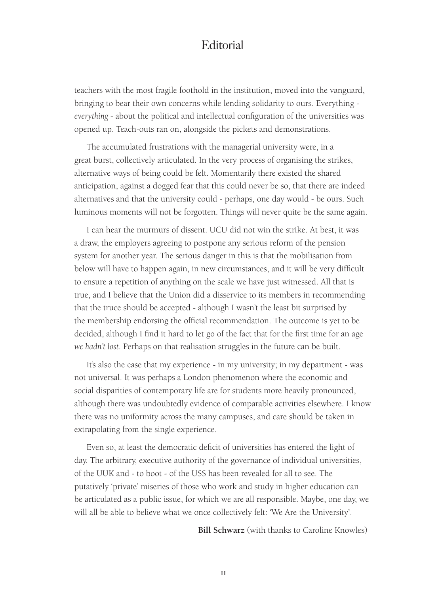teachers with the most fragile foothold in the institution, moved into the vanguard, bringing to bear their own concerns while lending solidarity to ours. Everything *everything* - about the political and intellectual configuration of the universities was opened up. Teach-outs ran on, alongside the pickets and demonstrations.

The accumulated frustrations with the managerial university were, in a great burst, collectively articulated. In the very process of organising the strikes, alternative ways of being could be felt. Momentarily there existed the shared anticipation, against a dogged fear that this could never be so, that there are indeed alternatives and that the university could - perhaps, one day would - be ours. Such luminous moments will not be forgotten. Things will never quite be the same again.

I can hear the murmurs of dissent. UCU did not win the strike. At best, it was a draw, the employers agreeing to postpone any serious reform of the pension system for another year. The serious danger in this is that the mobilisation from below will have to happen again, in new circumstances, and it will be very difficult to ensure a repetition of anything on the scale we have just witnessed. All that is true, and I believe that the Union did a disservice to its members in recommending that the truce should be accepted - although I wasn't the least bit surprised by the membership endorsing the official recommendation. The outcome is yet to be decided, although I find it hard to let go of the fact that for the first time for an age *we hadn't lost*. Perhaps on that realisation struggles in the future can be built.

It's also the case that my experience - in my university; in my department - was not universal. It was perhaps a London phenomenon where the economic and social disparities of contemporary life are for students more heavily pronounced, although there was undoubtedly evidence of comparable activities elsewhere. I know there was no uniformity across the many campuses, and care should be taken in extrapolating from the single experience.

Even so, at least the democratic deficit of universities has entered the light of day. The arbitrary, executive authority of the governance of individual universities, of the UUK and - to boot - of the USS has been revealed for all to see. The putatively 'private' miseries of those who work and study in higher education can be articulated as a public issue, for which we are all responsible. Maybe, one day, we will all be able to believe what we once collectively felt: 'We Are the University'.

**Bill Schwarz** (with thanks to Caroline Knowles)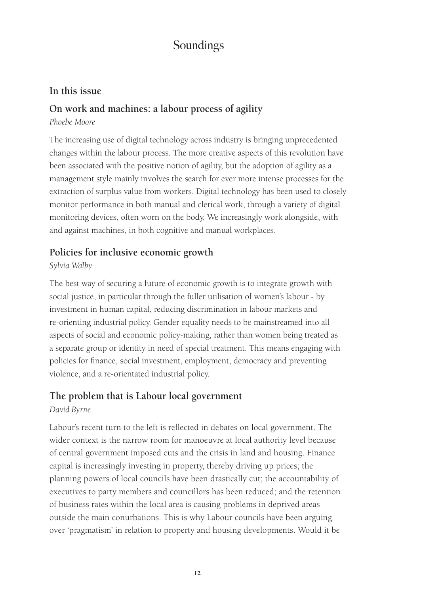#### **In this issue**

#### **On work and machines: a labour process of agility**

#### *Phoebe Moore*

The increasing use of digital technology across industry is bringing unprecedented changes within the labour process. The more creative aspects of this revolution have been associated with the positive notion of agility, but the adoption of agility as a management style mainly involves the search for ever more intense processes for the extraction of surplus value from workers. Digital technology has been used to closely monitor performance in both manual and clerical work, through a variety of digital monitoring devices, often worn on the body. We increasingly work alongside, with and against machines, in both cognitive and manual workplaces.

#### **Policies for inclusive economic growth**

#### *Sylvia Walby*

The best way of securing a future of economic growth is to integrate growth with social justice, in particular through the fuller utilisation of women's labour - by investment in human capital, reducing discrimination in labour markets and re-orienting industrial policy. Gender equality needs to be mainstreamed into all aspects of social and economic policy-making, rather than women being treated as a separate group or identity in need of special treatment. This means engaging with policies for finance, social investment, employment, democracy and preventing violence, and a re-orientated industrial policy.

#### **The problem that is Labour local government**

#### *David Byrne*

Labour's recent turn to the left is reflected in debates on local government. The wider context is the narrow room for manoeuvre at local authority level because of central government imposed cuts and the crisis in land and housing. Finance capital is increasingly investing in property, thereby driving up prices; the planning powers of local councils have been drastically cut; the accountability of executives to party members and councillors has been reduced; and the retention of business rates within the local area is causing problems in deprived areas outside the main conurbations. This is why Labour councils have been arguing over 'pragmatism' in relation to property and housing developments. Would it be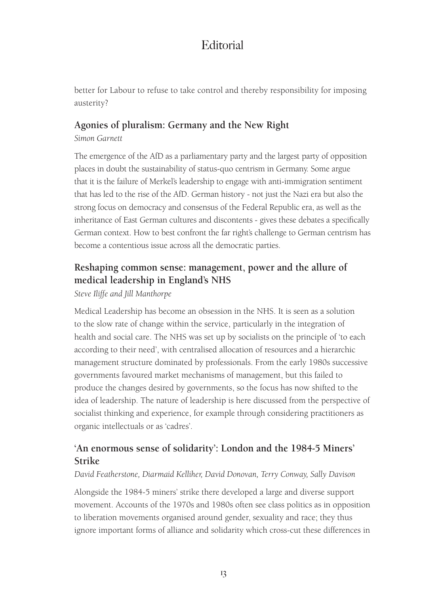better for Labour to refuse to take control and thereby responsibility for imposing austerity?

# **Agonies of pluralism: Germany and the New Right**

*Simon Garnett* 

The emergence of the AfD as a parliamentary party and the largest party of opposition places in doubt the sustainability of status-quo centrism in Germany. Some argue that it is the failure of Merkel's leadership to engage with anti-immigration sentiment that has led to the rise of the AfD. German history - not just the Nazi era but also the strong focus on democracy and consensus of the Federal Republic era, as well as the inheritance of East German cultures and discontents - gives these debates a specifically German context. How to best confront the far right's challenge to German centrism has become a contentious issue across all the democratic parties.

# **Reshaping common sense: management, power and the allure of medical leadership in England's NHS**

*Steve Iliffe and Jill Manthorpe*

Medical Leadership has become an obsession in the NHS. It is seen as a solution to the slow rate of change within the service, particularly in the integration of health and social care. The NHS was set up by socialists on the principle of 'to each according to their need', with centralised allocation of resources and a hierarchic management structure dominated by professionals. From the early 1980s successive governments favoured market mechanisms of management, but this failed to produce the changes desired by governments, so the focus has now shifted to the idea of leadership. The nature of leadership is here discussed from the perspective of socialist thinking and experience, for example through considering practitioners as organic intellectuals or as 'cadres'.

# **'An enormous sense of solidarity': London and the 1984-5 Miners' Strike**

#### *David Featherstone, Diarmaid Kelliher, David Donovan, Terry Conway, Sally Davison*

Alongside the 1984-5 miners' strike there developed a large and diverse support movement. Accounts of the 1970s and 1980s often see class politics as in opposition to liberation movements organised around gender, sexuality and race; they thus ignore important forms of alliance and solidarity which cross-cut these differences in